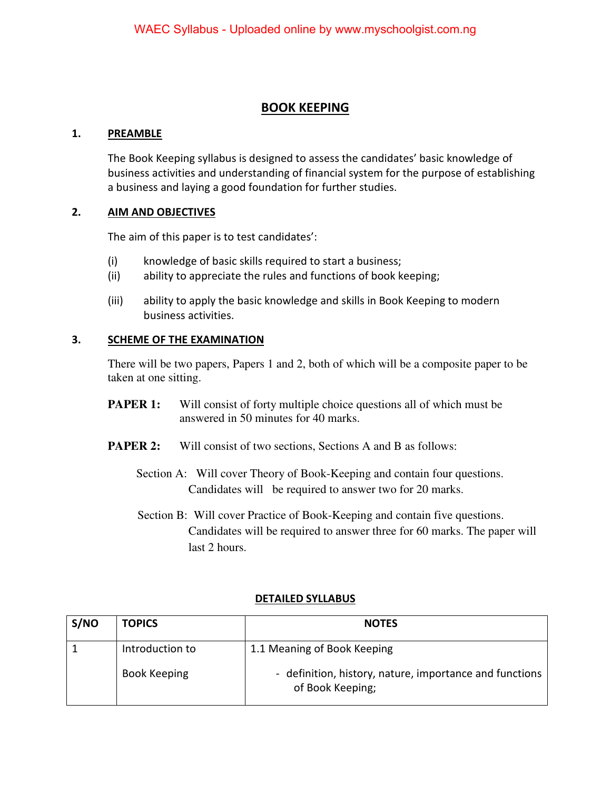# **BOOK KEEPING**

#### **1. PREAMBLE**

 The Book Keeping syllabus is designed to assess the candidates' basic knowledge of business activities and understanding of financial system for the purpose of establishing a business and laying a good foundation for further studies.

#### **2. AIM AND OBJECTIVES**

The aim of this paper is to test candidates':

- (i) knowledge of basic skills required to start a business;
- (ii) ability to appreciate the rules and functions of book keeping;
- (iii) ability to apply the basic knowledge and skills in Book Keeping to modern business activities.

#### **3. SCHEME OF THE EXAMINATION**

There will be two papers, Papers 1 and 2, both of which will be a composite paper to be taken at one sitting.

- **PAPER 1:** Will consist of forty multiple choice questions all of which must be answered in 50 minutes for 40 marks.
- **PAPER 2:** Will consist of two sections, Sections A and B as follows:
	- Section A: Will cover Theory of Book-Keeping and contain four questions. Candidates will be required to answer two for 20 marks.
	- Section B: Will cover Practice of Book-Keeping and contain five questions. Candidates will be required to answer three for 60 marks. The paper will last 2 hours.

| S/NO | <b>TOPICS</b>       | <b>NOTES</b>                                                                |  |
|------|---------------------|-----------------------------------------------------------------------------|--|
|      | Introduction to     | 1.1 Meaning of Book Keeping                                                 |  |
|      | <b>Book Keeping</b> | - definition, history, nature, importance and functions<br>of Book Keeping; |  |

### **DETAILED SYLLABUS**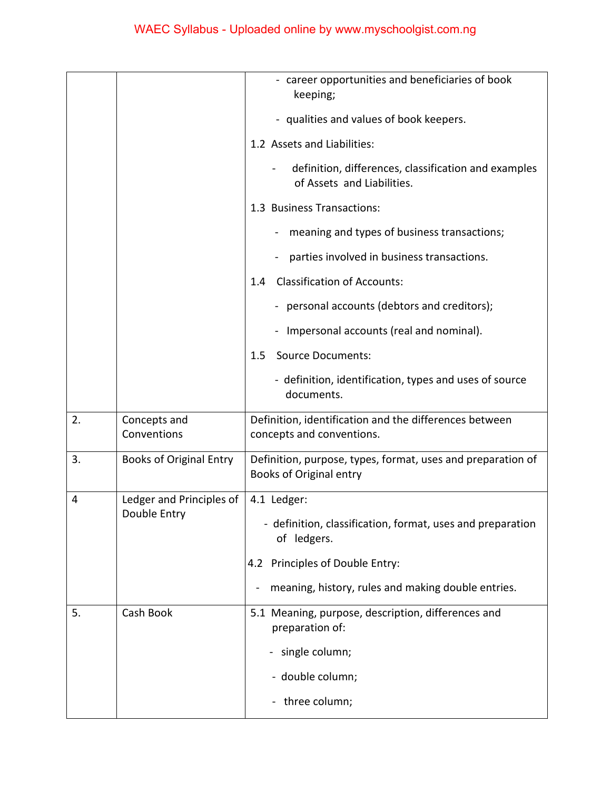|    |                                | - career opportunities and beneficiaries of book<br>keeping;                                  |  |
|----|--------------------------------|-----------------------------------------------------------------------------------------------|--|
|    |                                | - qualities and values of book keepers.                                                       |  |
|    |                                | 1.2 Assets and Liabilities:                                                                   |  |
|    |                                | definition, differences, classification and examples<br>of Assets and Liabilities.            |  |
|    |                                | 1.3 Business Transactions:                                                                    |  |
|    |                                | meaning and types of business transactions;                                                   |  |
|    |                                | parties involved in business transactions.                                                    |  |
|    |                                | <b>Classification of Accounts:</b><br>1.4                                                     |  |
|    |                                | - personal accounts (debtors and creditors);                                                  |  |
|    |                                | Impersonal accounts (real and nominal).                                                       |  |
|    |                                | <b>Source Documents:</b><br>$1.5\,$                                                           |  |
|    |                                | - definition, identification, types and uses of source<br>documents.                          |  |
| 2. | Concepts and<br>Conventions    | Definition, identification and the differences between<br>concepts and conventions.           |  |
| 3. | <b>Books of Original Entry</b> | Definition, purpose, types, format, uses and preparation of<br><b>Books of Original entry</b> |  |
| 4  | Ledger and Principles of       | 4.1 Ledger:                                                                                   |  |
|    | Double Entry                   | - definition, classification, format, uses and preparation<br>of ledgers.                     |  |
|    |                                | 4.2 Principles of Double Entry:                                                               |  |
|    |                                | meaning, history, rules and making double entries.                                            |  |
| 5. | Cash Book                      | 5.1 Meaning, purpose, description, differences and<br>preparation of:                         |  |
|    |                                | single column;                                                                                |  |
|    |                                | - double column;                                                                              |  |
|    |                                | - three column;                                                                               |  |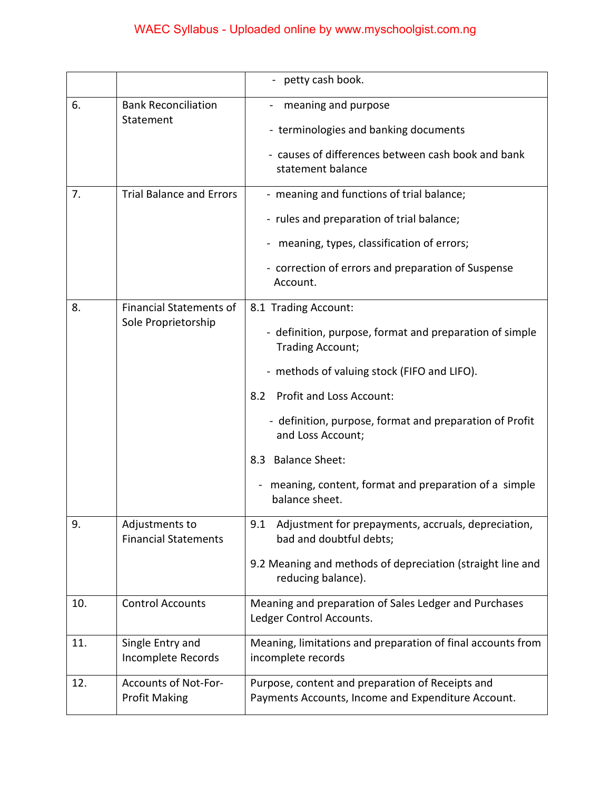|     |                                                     | - petty cash book.                                                                                                 |  |
|-----|-----------------------------------------------------|--------------------------------------------------------------------------------------------------------------------|--|
| 6.  | <b>Bank Reconciliation</b><br>Statement             | meaning and purpose<br>- terminologies and banking documents<br>- causes of differences between cash book and bank |  |
|     |                                                     | statement balance                                                                                                  |  |
| 7.  | <b>Trial Balance and Errors</b>                     | - meaning and functions of trial balance;                                                                          |  |
|     |                                                     | - rules and preparation of trial balance;                                                                          |  |
|     |                                                     | - meaning, types, classification of errors;                                                                        |  |
|     |                                                     | - correction of errors and preparation of Suspense<br>Account.                                                     |  |
| 8.  | <b>Financial Statements of</b>                      | 8.1 Trading Account:                                                                                               |  |
|     | Sole Proprietorship                                 | - definition, purpose, format and preparation of simple<br>Trading Account;                                        |  |
|     |                                                     | - methods of valuing stock (FIFO and LIFO).                                                                        |  |
|     |                                                     | Profit and Loss Account:<br>8.2                                                                                    |  |
|     |                                                     | - definition, purpose, format and preparation of Profit<br>and Loss Account;                                       |  |
|     |                                                     | 8.3 Balance Sheet:                                                                                                 |  |
|     |                                                     | meaning, content, format and preparation of a simple<br>balance sheet.                                             |  |
| 9.  | Adjustments to<br><b>Financial Statements</b>       | Adjustment for prepayments, accruals, depreciation,<br>9.1<br>bad and doubtful debts;                              |  |
|     |                                                     | 9.2 Meaning and methods of depreciation (straight line and<br>reducing balance).                                   |  |
| 10. | <b>Control Accounts</b>                             | Meaning and preparation of Sales Ledger and Purchases<br>Ledger Control Accounts.                                  |  |
| 11. | Single Entry and<br>Incomplete Records              | Meaning, limitations and preparation of final accounts from<br>incomplete records                                  |  |
| 12. | <b>Accounts of Not-For-</b><br><b>Profit Making</b> | Purpose, content and preparation of Receipts and<br>Payments Accounts, Income and Expenditure Account.             |  |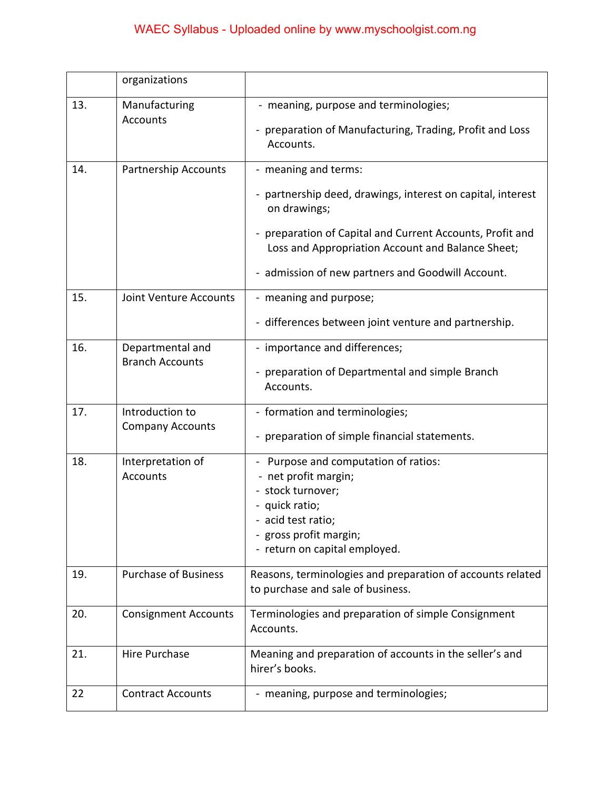# WAEC Syllabus - Uploaded online by www.myschoolgist.com.ng

|     | organizations                              |                                                                                                                                                                                                                                                                          |  |
|-----|--------------------------------------------|--------------------------------------------------------------------------------------------------------------------------------------------------------------------------------------------------------------------------------------------------------------------------|--|
| 13. | Manufacturing<br><b>Accounts</b>           | - meaning, purpose and terminologies;<br>- preparation of Manufacturing, Trading, Profit and Loss<br>Accounts.                                                                                                                                                           |  |
| 14. | Partnership Accounts                       | - meaning and terms:<br>- partnership deed, drawings, interest on capital, interest<br>on drawings;<br>preparation of Capital and Current Accounts, Profit and<br>Loss and Appropriation Account and Balance Sheet;<br>- admission of new partners and Goodwill Account. |  |
| 15. | Joint Venture Accounts                     | - meaning and purpose;<br>- differences between joint venture and partnership.                                                                                                                                                                                           |  |
| 16. | Departmental and<br><b>Branch Accounts</b> | - importance and differences;<br>- preparation of Departmental and simple Branch<br>Accounts.                                                                                                                                                                            |  |
| 17. | Introduction to<br><b>Company Accounts</b> | - formation and terminologies;<br>- preparation of simple financial statements.                                                                                                                                                                                          |  |
| 18. | Interpretation of<br>Accounts              | Purpose and computation of ratios:<br>- net profit margin;<br>- stock turnover;<br>- quick ratio;<br>- acid test ratio;<br>- gross profit margin;<br>- return on capital employed.                                                                                       |  |
| 19. | <b>Purchase of Business</b>                | Reasons, terminologies and preparation of accounts related<br>to purchase and sale of business.                                                                                                                                                                          |  |
| 20. | <b>Consignment Accounts</b>                | Terminologies and preparation of simple Consignment<br>Accounts.                                                                                                                                                                                                         |  |
| 21. | Hire Purchase                              | Meaning and preparation of accounts in the seller's and<br>hirer's books.                                                                                                                                                                                                |  |
| 22  | <b>Contract Accounts</b>                   | - meaning, purpose and terminologies;                                                                                                                                                                                                                                    |  |